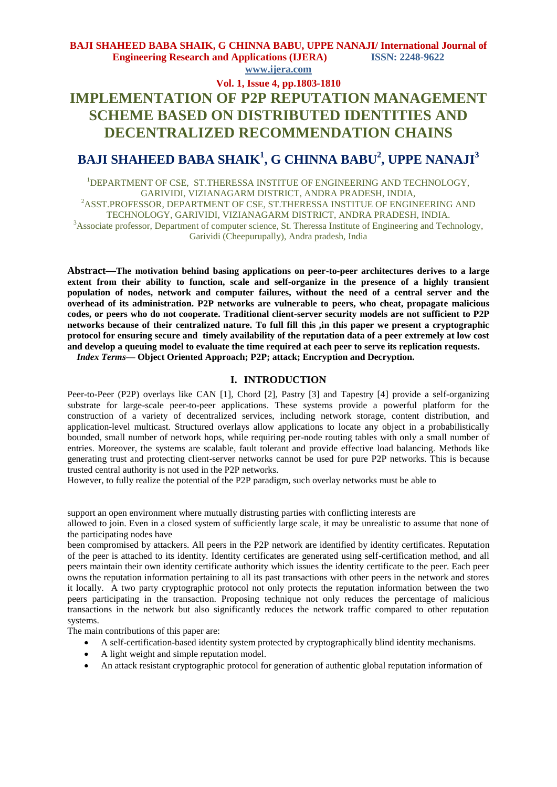## **BAJI SHAHEED BABA SHAIK, G CHINNA BABU, UPPE NANAJI/ International Journal of Engineering Research and Applications (IJERA) ISSN: 2248-9622 www.ijera.com**

# **Vol. 1, Issue 4, pp.1803-1810**

# **IMPLEMENTATION OF P2P REPUTATION MANAGEMENT SCHEME BASED ON DISTRIBUTED IDENTITIES AND DECENTRALIZED RECOMMENDATION CHAINS**

# **BAJI SHAHEED BABA SHAIK<sup>1</sup> , G CHINNA BABU<sup>2</sup> , UPPE NANAJI<sup>3</sup>**

<sup>1</sup>DEPARTMENT OF CSE, ST.THERESSA INSTITUE OF ENGINEERING AND TECHNOLOGY, GARIVIDI, VIZIANAGARM DISTRICT, ANDRA PRADESH, INDIA, <sup>2</sup>ASST.PROFESSOR, DEPARTMENT OF CSE, ST.THERESSA INSTITUE OF ENGINEERING AND TECHNOLOGY, GARIVIDI, VIZIANAGARM DISTRICT, ANDRA PRADESH, INDIA. <sup>3</sup>Associate professor, Department of computer science, St. Theressa Institute of Engineering and Technology, Garividi (Cheepurupally), Andra pradesh, India

**Abstract—The motivation behind basing applications on peer-to-peer architectures derives to a large extent from their ability to function, scale and self-organize in the presence of a highly transient population of nodes, network and computer failures, without the need of a central server and the overhead of its administration. P2P networks are vulnerable to peers, who cheat, propagate malicious codes, or peers who do not cooperate. Traditional client-server security models are not sufficient to P2P networks because of their centralized nature. To full fill this ,in this paper we present a cryptographic protocol for ensuring secure and timely availability of the reputation data of a peer extremely at low cost and develop a queuing model to evaluate the time required at each peer to serve its replication requests.**

*Index Terms*—Object Oriented Approach; P2P; attack; Encryption and Decryption.

#### **I. INTRODUCTION**

Peer-to-Peer (P2P) overlays like CAN [1], Chord [2], Pastry [3] and Tapestry [4] provide a self-organizing substrate for large-scale peer-to-peer applications. These systems provide a powerful platform for the construction of a variety of decentralized services, including network storage, content distribution, and application-level multicast. Structured overlays allow applications to locate any object in a probabilistically bounded, small number of network hops, while requiring per-node routing tables with only a small number of entries. Moreover, the systems are scalable, fault tolerant and provide effective load balancing. Methods like generating trust and protecting client-server networks cannot be used for pure P2P networks. This is because trusted central authority is not used in the P2P networks.

However, to fully realize the potential of the P2P paradigm, such overlay networks must be able to

support an open environment where mutually distrusting parties with conflicting interests are

allowed to join. Even in a closed system of sufficiently large scale, it may be unrealistic to assume that none of the participating nodes have

been compromised by attackers. All peers in the P2P network are identified by identity certificates. Reputation of the peer is attached to its identity. Identity certificates are generated using self-certification method, and all peers maintain their own identity certificate authority which issues the identity certificate to the peer. Each peer owns the reputation information pertaining to all its past transactions with other peers in the network and stores it locally. A two party cryptographic protocol not only protects the reputation information between the two peers participating in the transaction. Proposing technique not only reduces the percentage of malicious transactions in the network but also significantly reduces the network traffic compared to other reputation systems.

The main contributions of this paper are:

- A self-certification-based identity system protected by cryptographically blind identity mechanisms.
- A light weight and simple reputation model.
- An attack resistant cryptographic protocol for generation of authentic global reputation information of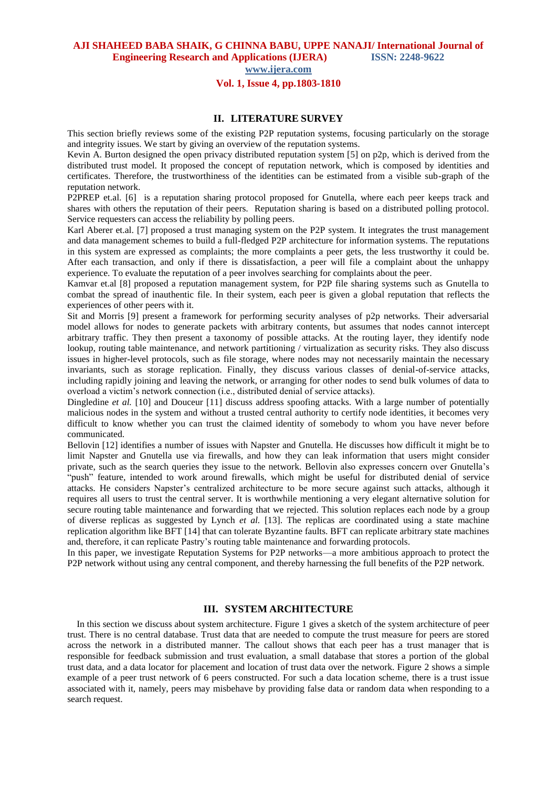**AJI SHAHEED BABA SHAIK, G CHINNA BABU, UPPE NANAJI/ International Journal of Engineering Research and Applications (IJERA) ISSN: 2248-9622** 

**www.ijera.com**

# **Vol. 1, Issue 4, pp.1803-1810**

### **II. LITERATURE SURVEY**

This section briefly reviews some of the existing P2P reputation systems, focusing particularly on the storage and integrity issues. We start by giving an overview of the reputation systems.

Kevin A. Burton designed the open privacy distributed reputation system [5] on p2p, which is derived from the distributed trust model. It proposed the concept of reputation network, which is composed by identities and certificates. Therefore, the trustworthiness of the identities can be estimated from a visible sub-graph of the reputation network.

P2PREP et.al. [6] is a reputation sharing protocol proposed for Gnutella, where each peer keeps track and shares with others the reputation of their peers. Reputation sharing is based on a distributed polling protocol. Service requesters can access the reliability by polling peers.

Karl Aberer et.al. [7] proposed a trust managing system on the P2P system. It integrates the trust management and data management schemes to build a full-fledged P2P architecture for information systems. The reputations in this system are expressed as complaints; the more complaints a peer gets, the less trustworthy it could be. After each transaction, and only if there is dissatisfaction, a peer will file a complaint about the unhappy experience. To evaluate the reputation of a peer involves searching for complaints about the peer.

Kamvar et.al [8] proposed a reputation management system, for P2P file sharing systems such as Gnutella to combat the spread of inauthentic file. In their system, each peer is given a global reputation that reflects the experiences of other peers with it.

Sit and Morris [9] present a framework for performing security analyses of p2p networks. Their adversarial model allows for nodes to generate packets with arbitrary contents, but assumes that nodes cannot intercept arbitrary traffic. They then present a taxonomy of possible attacks. At the routing layer, they identify node lookup, routing table maintenance, and network partitioning / virtualization as security risks. They also discuss issues in higher-level protocols, such as file storage, where nodes may not necessarily maintain the necessary invariants, such as storage replication. Finally, they discuss various classes of denial-of-service attacks, including rapidly joining and leaving the network, or arranging for other nodes to send bulk volumes of data to overload a victim's network connection (i.e., distributed denial of service attacks).

Dingledine *et al.* [10] and Douceur [11] discuss address spoofing attacks. With a large number of potentially malicious nodes in the system and without a trusted central authority to certify node identities, it becomes very difficult to know whether you can trust the claimed identity of somebody to whom you have never before communicated.

Bellovin [12] identifies a number of issues with Napster and Gnutella. He discusses how difficult it might be to limit Napster and Gnutella use via firewalls, and how they can leak information that users might consider private, such as the search queries they issue to the network. Bellovin also expresses concern over Gnutella's "push" feature, intended to work around firewalls, which might be useful for distributed denial of service attacks. He considers Napster's centralized architecture to be more secure against such attacks, although it requires all users to trust the central server. It is worthwhile mentioning a very elegant alternative solution for secure routing table maintenance and forwarding that we rejected. This solution replaces each node by a group of diverse replicas as suggested by Lynch *et al.* [13]. The replicas are coordinated using a state machine replication algorithm like BFT [14] that can tolerate Byzantine faults. BFT can replicate arbitrary state machines and, therefore, it can replicate Pastry's routing table maintenance and forwarding protocols.

In this paper, we investigate Reputation Systems for P2P networks—a more ambitious approach to protect the P2P network without using any central component, and thereby harnessing the full benefits of the P2P network.

## **III. SYSTEM ARCHITECTURE**

In this section we discuss about system architecture. Figure 1 gives a sketch of the system architecture of peer trust. There is no central database. Trust data that are needed to compute the trust measure for peers are stored across the network in a distributed manner. The callout shows that each peer has a trust manager that is responsible for feedback submission and trust evaluation, a small database that stores a portion of the global trust data, and a data locator for placement and location of trust data over the network. Figure 2 shows a simple example of a peer trust network of 6 peers constructed. For such a data location scheme, there is a trust issue associated with it, namely, peers may misbehave by providing false data or random data when responding to a search request.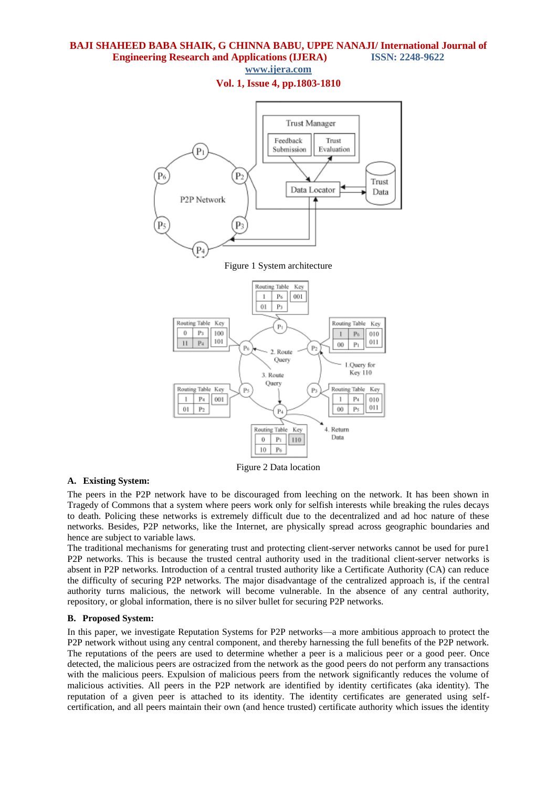**www.ijera.com**

**Vol. 1, Issue 4, pp.1803-1810**



Figure 2 Data location

#### **A. Existing System:**

The peers in the P2P network have to be discouraged from leeching on the network. It has been shown in Tragedy of Commons that a system where peers work only for selfish interests while breaking the rules decays to death. Policing these networks is extremely difficult due to the decentralized and ad hoc nature of these networks. Besides, P2P networks, like the Internet, are physically spread across geographic boundaries and hence are subject to variable laws.

The traditional mechanisms for generating trust and protecting client-server networks cannot be used for pure1 P2P networks. This is because the trusted central authority used in the traditional client-server networks is absent in P2P networks. Introduction of a central trusted authority like a Certificate Authority (CA) can reduce the difficulty of securing P2P networks. The major disadvantage of the centralized approach is, if the central authority turns malicious, the network will become vulnerable. In the absence of any central authority, repository, or global information, there is no silver bullet for securing P2P networks.

#### **B. Proposed System:**

In this paper, we investigate Reputation Systems for P2P networks—a more ambitious approach to protect the P2P network without using any central component, and thereby harnessing the full benefits of the P2P network. The reputations of the peers are used to determine whether a peer is a malicious peer or a good peer. Once detected, the malicious peers are ostracized from the network as the good peers do not perform any transactions with the malicious peers. Expulsion of malicious peers from the network significantly reduces the volume of malicious activities. All peers in the P2P network are identified by identity certificates (aka identity). The reputation of a given peer is attached to its identity. The identity certificates are generated using selfcertification, and all peers maintain their own (and hence trusted) certificate authority which issues the identity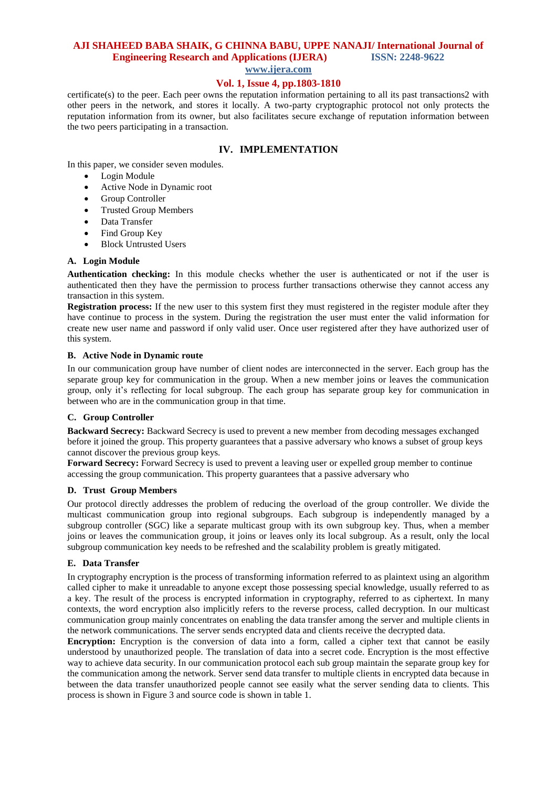# **AJI SHAHEED BABA SHAIK, G CHINNA BABU, UPPE NANAJI/ International Journal of Engineering Research and Applications (IJERA) ISSN: 2248-9622**

**www.ijera.com**

# **Vol. 1, Issue 4, pp.1803-1810**

certificate(s) to the peer. Each peer owns the reputation information pertaining to all its past transactions2 with other peers in the network, and stores it locally. A two-party cryptographic protocol not only protects the reputation information from its owner, but also facilitates secure exchange of reputation information between the two peers participating in a transaction.

## **IV. IMPLEMENTATION**

In this paper, we consider seven modules.

- Login Module
- Active Node in Dynamic root
- Group Controller
- Trusted Group Members
- Data Transfer
- Find Group Key
- Block Untrusted Users

#### **A. Login Module**

**Authentication checking:** In this module checks whether the user is authenticated or not if the user is authenticated then they have the permission to process further transactions otherwise they cannot access any transaction in this system.

**Registration process:** If the new user to this system first they must registered in the register module after they have continue to process in the system. During the registration the user must enter the valid information for create new user name and password if only valid user. Once user registered after they have authorized user of this system.

#### **B. Active Node in Dynamic route**

In our communication group have number of client nodes are interconnected in the server. Each group has the separate group key for communication in the group. When a new member joins or leaves the communication group, only it's reflecting for local subgroup. The each group has separate group key for communication in between who are in the communication group in that time.

#### **C. Group Controller**

**Backward Secrecy:** Backward Secrecy is used to prevent a new member from decoding messages exchanged before it joined the group. This property guarantees that a passive adversary who knows a subset of group keys cannot discover the previous group keys.

**Forward Secrecy:** Forward Secrecy is used to prevent a leaving user or expelled group member to continue accessing the group communication. This property guarantees that a passive adversary who

#### **D. Trust Group Members**

Our protocol directly addresses the problem of reducing the overload of the group controller. We divide the multicast communication group into regional subgroups. Each subgroup is independently managed by a subgroup controller (SGC) like a separate multicast group with its own subgroup key. Thus, when a member joins or leaves the communication group, it joins or leaves only its local subgroup. As a result, only the local subgroup communication key needs to be refreshed and the scalability problem is greatly mitigated.

#### **E. Data Transfer**

In cryptography encryption is the process of transforming information referred to as plaintext using an algorithm called cipher to make it unreadable to anyone except those possessing special knowledge, usually referred to as a key. The result of the process is encrypted information in cryptography, referred to as ciphertext. In many contexts, the word encryption also implicitly refers to the reverse process, called decryption. In our multicast communication group mainly concentrates on enabling the data transfer among the server and multiple clients in the network communications. The server sends encrypted data and clients receive the decrypted data.

**Encryption:** Encryption is the conversion of data into a form, called a cipher text that cannot be easily understood by unauthorized people. The translation of data into a secret code. Encryption is the most effective way to achieve data security. In our communication protocol each sub group maintain the separate group key for the communication among the network. Server send data transfer to multiple clients in encrypted data because in between the data transfer unauthorized people cannot see easily what the server sending data to clients. This process is shown in Figure 3 and source code is shown in table 1.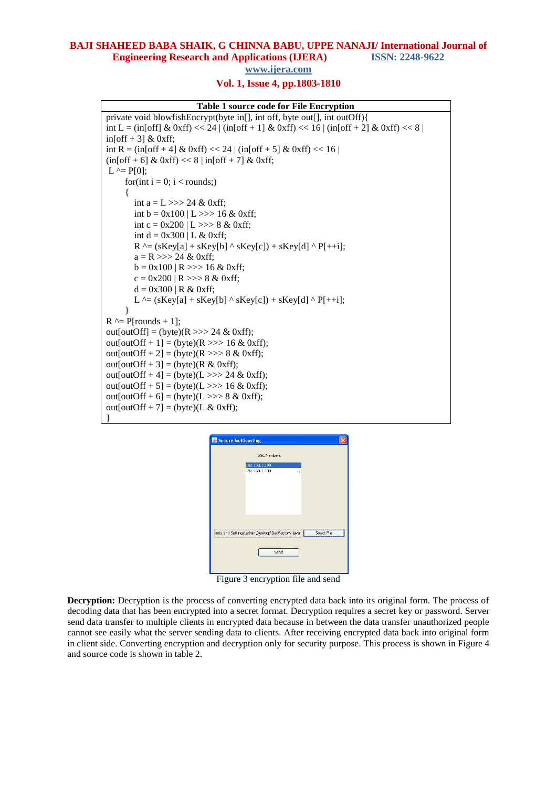# **BAJI SHAHEED BABA SHAIK, G CHINNA BABU, UPPE NANAJI/ International Journal of Engineering Research and Applications (IJERA) ISSN: 2248-9622**

**www.ijera.com**

## **Vol. 1, Issue 4, pp.1803-1810**

#### **Table 1 source code for File Encryption**

```
private void blowfishEncrypt(byte in[], int off, byte out[], int outOff){
int L = (in[off] & 0xff) << 24 | (in[off + 1] & 0xff) << 16 | (in[off + 2] & 0xff) << 8 |
in[off + 3] & 0xff;
int R = (in[off + 4] & 0xff) << 24 | (in[off + 5] & 0xff) << 16 |
(in[off + 6] & 0xff) \ll 8 | in[off + 7] & 0xff;L \cong P[0];
     for(int i = 0; i < rounds;)
      {
        int a = L >> 24 & 0 \text{ xff};
        int b = 0x100 | L >>> 16 & 0xff;
        int c = 0x200 | L >>> 8 & 0xff;
        int d = 0x300 | L & 0xff;
        R^{\wedge} = (sKey[a] + sKey[b] ^{\wedge} sKey[c]) + sKey[d] ^{\wedge} P[++i];
        a = R \gg > 24 \& 0 \text{xff};b = 0x100 | R >>> 16 & 0xff;
        c = 0x200 | R >>> 8 & 0xff;
        d = 0x300 | R & 0xff;
        L^{\wedge} = (sKey[a] + sKey[b] \wedge sKey[c]) + sKey[d] \wedge P[++i]; }
R^{\wedge} = P[rounds + 1];
out[outOff] = (byte)(R \gg > 24 \& 0 \text{xf});
out[outOff + 1] = (byte)(R \gg > 16 \& 0 \text{xff});
out[outOff + 2] = (byte)(R >>> 8 & 0xff);
out[outOff + 3] = (byte)(R \& 0xff);
out[outOff + 4] = (byte)(L \gg > 24 & 0xff);
out[outOff + 5] = (byte)(L >>> 16 & 0xff);
out[outOff + 6] = (byte)(L \gg > 8 & 0xff);
out[outOff + 7] = (byte)(L & 0xff);
}
```

| Secure Multicasting                             |                       |             |
|-------------------------------------------------|-----------------------|-------------|
|                                                 | <b>SGC Members</b>    |             |
|                                                 | 192.168.1.199         |             |
|                                                 | 192.168.1.100<br>a si |             |
|                                                 |                       |             |
|                                                 |                       |             |
|                                                 |                       |             |
|                                                 |                       |             |
|                                                 |                       |             |
|                                                 |                       |             |
|                                                 |                       |             |
| ents and Settings\admin\Desktop\DaoFactory.java |                       | Select File |
|                                                 |                       |             |
|                                                 | Send                  |             |
|                                                 |                       |             |
|                                                 |                       |             |

Figure 3 encryption file and send

**Decryption:** Decryption is the process of converting encrypted data back into its original form. The process of decoding data that has been encrypted into a secret format. Decryption requires a secret key or password. Server send data transfer to multiple clients in encrypted data because in between the data transfer unauthorized people cannot see easily what the server sending data to clients. After receiving encrypted data back into original form in client side. Converting encryption and decryption only for security purpose. This process is shown in Figure 4 and source code is shown in table 2.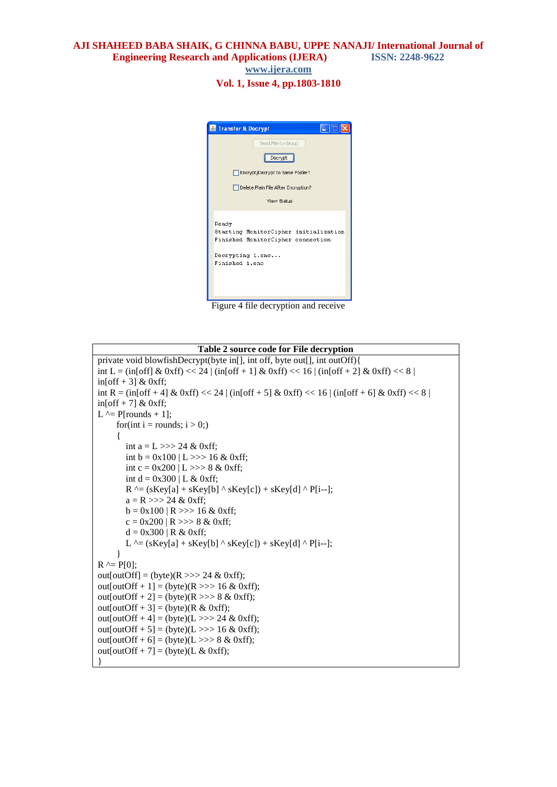**AJI SHAHEED BABA SHAIK, G CHINNA BABU, UPPE NANAJI/ International Journal of Engineering Research and Applications (IJERA) ISSN: 2248-9622 www.ijera.com**

**Vol. 1, Issue 4, pp.1803-1810**



Figure 4 file decryption and receive

```
Table 2 source code for File decryption
private void blowfishDecrypt(byte in[], int off, byte out[], int outOff){
int L = (in[off] & 0xff) << 24 | (in[off + 1] & 0xff) << 16 | (in[off + 2] & 0xff) << 8 |
in[off + 3] & 0xff;
int R = (in[off + 4] & 0xff) << 24 | (in[off + 5] & 0xff) << 16 | (in[off + 6] & 0xff) << 8 |
in[off + 7] & 0xff;
L \wedge= P[rounds + 1];
     for(int i = rounds; i > 0;)
\left\{\begin{array}{ccc} \end{array}\right\}int a = 1, >> 24 & 0xff:
        int b = 0x100 | L >>> 16 & 0xff;
        int c = 0x200 | L >>> 8 & 0xff;
        int d = 0x300 | L & 0xff;
        R^{\wedge} = (sKey[a] + sKey[b] ^{\wedge} sKey[c]) + sKey[d] ^{\wedge} P[i--];
        a = R \gg > 24 \& 0 \text{xff};b = 0x100 | R >>> 16 & 0xff;
        c = 0x200 | R >>> 8 & 0xff;
        d = 0x300 | R & 0xff:
        L \cong (sKey[a] + sKey[b] \wedge sKey[c]) + sKey[d] \wedge P[i-]; }
R \cong P[0];
out[outOff] = (byte)(R \gg > 24 \& 0 \text{xff});
out[outOff + 1] = (byte)(R >>> 16 & 0xff);
out[outOff + 2] = (byte)(R >>> 8 & 0xff);
out[outOff + 3] = (byte)(R \& 0xff);
out[outOff + 4] = (byte)(L >>> 24 & 0xff);
out[outOff + 5] = (byte)(L >>> 16 & 0xff);
out[outOff + 6] = (byte)(L >>> 8 & 0xff);
out[outOff + 7] = (byte)(L & 0xff);
}
```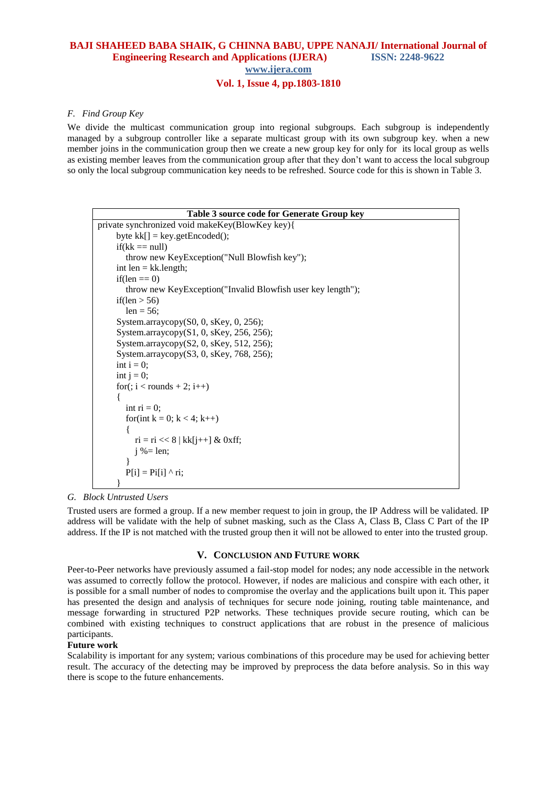## **BAJI SHAHEED BABA SHAIK, G CHINNA BABU, UPPE NANAJI/ International Journal of Engineering Research and Applications (IJERA) ISSN: 2248-9622 www.ijera.com**

# **Vol. 1, Issue 4, pp.1803-1810**

#### *F. Find Group Key*

We divide the multicast communication group into regional subgroups. Each subgroup is independently managed by a subgroup controller like a separate multicast group with its own subgroup key. when a new member joins in the communication group then we create a new group key for only for its local group as wells as existing member leaves from the communication group after that they don't want to access the local subgroup so only the local subgroup communication key needs to be refreshed. Source code for this is shown in Table 3.

| Table 3 source code for Generate Group key                  |  |  |
|-------------------------------------------------------------|--|--|
| private synchronized void makeKey(BlowKey key){             |  |  |
| byte $kk[] = key.getEncode();$                              |  |  |
| $if(kk == null)$                                            |  |  |
| throw new KeyException("Null Blowfish key");                |  |  |
| int $len = kk.length;$                                      |  |  |
| if(len $==$ 0)                                              |  |  |
| throw new KeyException("Invalid Blowfish user key length"); |  |  |
| if(len $>$ 56)                                              |  |  |
| $len = 56;$                                                 |  |  |
| System.arraycopy(S0, 0, sKey, 0, 256);                      |  |  |
| System.arraycopy(S1, 0, sKey, 256, 256);                    |  |  |
| System.arraycopy(S2, 0, sKey, 512, 256);                    |  |  |
| System.arraycopy(S3, 0, sKey, 768, 256);                    |  |  |
| int $i = 0$ ;                                               |  |  |
| int $j = 0$ ;                                               |  |  |
| for(; $i <$ rounds + 2; $i$ ++)                             |  |  |
| ł                                                           |  |  |
| int $ri = 0$ ;                                              |  |  |
| for(int k = 0; k < 4; k++)                                  |  |  |
|                                                             |  |  |
| $ri = ri \ll 8  kk[i++] \& 0xff;$                           |  |  |
| $i\% = len;$                                                |  |  |
|                                                             |  |  |
| $P[i] = P[i[i]$ n;                                          |  |  |
|                                                             |  |  |

#### *G. Block Untrusted Users*

Trusted users are formed a group. If a new member request to join in group, the IP Address will be validated. IP address will be validate with the help of subnet masking, such as the Class A, Class B, Class C Part of the IP address. If the IP is not matched with the trusted group then it will not be allowed to enter into the trusted group.

#### **V. CONCLUSION AND FUTURE WORK**

Peer-to-Peer networks have previously assumed a fail-stop model for nodes; any node accessible in the network was assumed to correctly follow the protocol. However, if nodes are malicious and conspire with each other, it is possible for a small number of nodes to compromise the overlay and the applications built upon it. This paper has presented the design and analysis of techniques for secure node joining, routing table maintenance, and message forwarding in structured P2P networks. These techniques provide secure routing, which can be combined with existing techniques to construct applications that are robust in the presence of malicious participants.

#### **Future work**

Scalability is important for any system; various combinations of this procedure may be used for achieving better result. The accuracy of the detecting may be improved by preprocess the data before analysis. So in this way there is scope to the future enhancements.